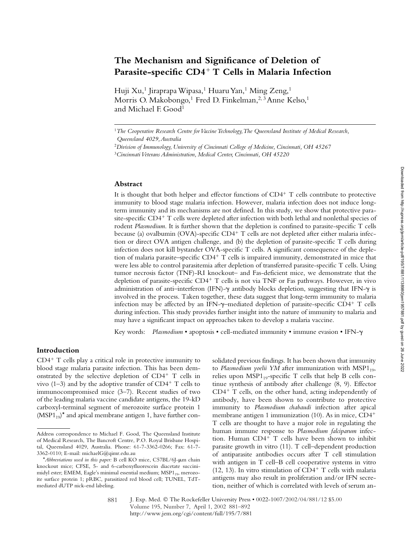# **The Mechanism and Significance of Deletion of Parasite-specific CD4**- **T Cells in Malaria Infection**

Huji Xu,<sup>1</sup> Jiraprapa Wipasa,<sup>1</sup> Huaru Yan,<sup>1</sup> Ming Zeng,<sup>1</sup> Morris O. Makobongo,<sup>1</sup> Fred D. Finkelman,<sup>2, 3</sup> Anne Kelso,<sup>1</sup> and Michael F. Good<sup>1</sup>

## **Abstract**

It is thought that both helper and effector functions of CD4<sup>+</sup> T cells contribute to protective immunity to blood stage malaria infection. However, malaria infection does not induce longterm immunity and its mechanisms are not defined. In this study, we show that protective parasite-specific  $CD4^+$  T cells were depleted after infection with both lethal and nonlethal species of rodent *Plasmodium*. It is further shown that the depletion is confined to parasite-specific T cells because (a) ovalbumin (OVA)-specific CD4<sup>+</sup> T cells are not depleted after either malaria infection or direct OVA antigen challenge, and (b) the depletion of parasite-specific T cells during infection does not kill bystander OVA-specific T cells. A significant consequence of the depletion of malaria parasite–specific CD4<sup>+</sup> T cells is impaired immunity, demonstrated in mice that were less able to control parasitemia after depletion of transferred parasite-specific T cells. Using tumor necrosis factor (TNF)-RI knockout– and Fas-deficient mice, we demonstrate that the depletion of parasite-specific CD4<sup>+</sup> T cells is not via TNF or Fas pathways. However, in vivo administration of anti-interferon (IFN)- $\gamma$  antibody blocks depletion, suggesting that IFN- $\gamma$  is involved in the process. Taken together, these data suggest that long-term immunity to malaria infection may be affected by an IFN- $\gamma$ -mediated depletion of parasite-specific CD4+ T cells during infection. This study provides further insight into the nature of immunity to malaria and may have a significant impact on approaches taken to develop a malaria vaccine.

Key words: *Plasmodium* • apoptosis • cell-mediated immunity • immune evasion • IFN-

# **Introduction**

CD4- T cells play a critical role in protective immunity to blood stage malaria parasite infection. This has been demonstrated by the selective depletion of CD4<sup>+</sup> T cells in vivo (1–3) and by the adoptive transfer of  $CD4^+$  T cells to immunocompromised mice (3–7). Recent studies of two of the leading malaria vaccine candidate antigens, the 19-kD carboxyl-terminal segment of merozoite surface protein 1  $(MSP1_{19})^*$  and apical membrane antigen 1, have further consolidated previous findings. It has been shown that immunity to Plasmodium yoelii YM after immunization with MSP1<sub>19</sub>, relies upon  $MSP1_{19}$ -specific T cells that help B cells continue synthesis of antibody after challenge (8, 9). Effector CD4<sup>+</sup> T cells, on the other hand, acting independently of antibody, have been shown to contribute to protective immunity to *Plasmodium chabaudi* infection after apical membrane antigen 1 immunization (10). As in mice, CD4- T cells are thought to have a major role in regulating the human immune response to *Plasmodium falciparum* infection. Human CD4- T cells have been shown to inhibit parasite growth in vitro (11). T cell–dependent production of antiparasite antibodies occurs after T cell stimulation with antigen in T cell–B cell cooperative systems in vitro  $(12, 13)$ . In vitro stimulation of CD4<sup>+</sup> T cells with malaria antigens may also result in proliferation and/or IFN secretion, neither of which is correlated with levels of serum an-

J. Exp. Med. © The Rockefeller University Press • 0022-1007/2002/04/881/12 \$5.00 Volume 195, Number 7, April 1, 2002 881–892 http://www.jem.org/cgi/content/full/195/7/881 881

<sup>&</sup>lt;sup>1</sup>The Cooperative Research Centre for Vaccine Technology, The Queensland Institute of Medical Research, *Queensland 4029, Australia*

<sup>2</sup>*Division of Immunology, University of Cincinnati College of Medicine, Cincinnati, OH 45267*

<sup>3</sup>*Cincinnati Veterans Administration, Medical Center, Cincinnati, OH 45220*

Address correspondence to Michael F. Good, The Queensland Institute of Medical Research, The Bancroft Centre, P.O. Royal Brisbane Hospital, Queensland 4029, Australia. Phone: 61-7-3362-0266; Fax: 61-7- 3362-0110; E-mail: michaelG@qimr.edu.au

<sup>\*</sup>*Abbreviations used in this paper: B cell KO mice, C57BL/6J-µm chain* knockout mice; CFSE, 5- and 6-carboxyfluorescein diacetate succinimidyl ester; EMEM, Eagle's minimal essential medium;  $MSP1_{19}$ , merozoite surface protein 1; pRBC, parasitized red blood cell; TUNEL, TdTmediated dUTP nick-end labeling.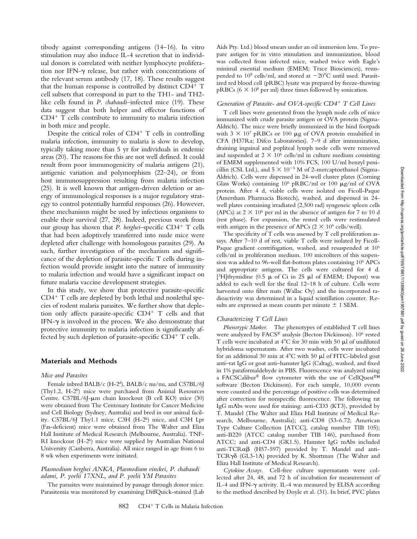tibody against corresponding antigens (14–16). In vitro stimulation may also induce IL-4 secretion that in individual donors is correlated with neither lymphocyte proliferation nor IFN- $\gamma$  release, but rather with concentrations of the relevant serum antibody (17, 18). These results suggest that the human response is controlled by distinct CD4<sup>+</sup> T cell subsets that correspond in part to the TH1- and TH2 like cells found in *P. chabaudi*–infected mice (19). These data suggest that both helper and effector functions of CD4- T cells contribute to immunity to malaria infection in both mice and people.

Despite the critical roles of CD4<sup>+</sup> T cells in controlling malaria infection, immunity to malaria is slow to develop, typically taking more than 5 yr for individuals in endemic areas (20). The reasons for this are not well defined. It could result from poor immunogenicity of malaria antigens (21), antigenic variation and polymorphism (22–24), or from host immunosuppression resulting from malaria infection (25). It is well known that antigen-driven deletion or anergy of immunological responses is a major regulatory strategy to control potentially harmful responses (26). However, these mechanisms might be used by infectious organisms to enable their survival (27, 28). Indeed, previous work from our group has shown that *P. berghei*-specific CD4<sup>+</sup> T cells that had been adoptively transferred into nude mice were depleted after challenge with homologous parasites (29). As such, further investigation of the mechanism and significance of the depletion of parasite-specific T cells during infection would provide insight into the nature of immunity to malaria infection and would have a significant impact on future malaria vaccine development strategies.

In this study, we show that protective parasite-specific CD4<sup>+</sup> T cells are depleted by both lethal and nonlethal species of rodent malaria parasites. We further show that depletion only affects parasite-specific CD4<sup>+</sup> T cells and that IFN- $\gamma$  is involved in the process. We also demonstrate that protective immunity to malaria infection is significantly affected by such depletion of parasite-specific CD4<sup>+</sup> T cells.

## **Materials and Methods**

#### *Mice and Parasites*

Female inbred BALB/c (H-2d), BALB/c nu/nu, and C57BL/6J (Thy1.2, H-2b) mice were purchased from Animal Resources Centre. C57BL/6J-µm chain knockout (B cell KO) mice (30) were obtained from The Centenary Institute for Cancer Medicine and Cell Biology (Sydney, Australia) and bred in our animal facility. C57BL/6J Thy1.1 mice, C3H (H-2k) mice, and C3H Lpr (Fas-deficient) mice were obtained from The Walter and Eliza Hall Institute of Medical Research (Melbourne, Australia). TNF-RI knockout (H-2b) mice were supplied by Australian National University (Canberra, Australia). All mice ranged in age from 6 to 8 wk when experiments were initiated.

## *Plasmodium berghei ANKA, Plasmodium vinckei, P. chabaudi adami, P. yoelii 17XNL, and P. yoelii YM Parasites*

The parasites were maintained by passage through donor mice. Parasitemia was monitored by examining DiffQuick-stained (Lab Aids Pty. Ltd.) blood smears under an oil immersion lens. To prepare antigen for in vitro stimulation and immunization, blood was collected from infected mice, washed twice with Eagle's minimal essential medium (EMEM; Trace Biosciences), resuspended to  $10^8$  cells/ml, and stored at  $-20^{\circ}$ C until used. Parasitized red blood cell (pRBC) lysate was prepared by freeze-thawing pRBCs ( $6 \times 10^8$  per ml) three times followed by sonication.

## *Generation of Parasite- and OVA-specific CD4*- *T Cell Lines*

T cell lines were generated from the lymph node cells of mice immunized with crude parasite antigen or OVA protein (Sigma-Aldrich). The mice were briefly immunized in the hind footpads with  $3 \times 10^7$  pRBCs or 100 µg of OVA protein emulsified in CFA (H37Ra; Difco Laboratories). 7–9 d after immunization, draining inguinal and popliteal lymph node cells were removed and suspended at  $2 \times 10^6$  cells/ml in culture medium consisting of EMEM supplemented with 10% FCS, 100 U/ml benzyl penicillin (CSL Ltd.), and  $5 \times 10^{-5}$  M of 2-mercaptoethanol (Sigma-Aldrich). Cells were dispensed in 24-well cluster plates (Corning Glass Works) containing  $10^6$  pRBC/ml or  $100 \mu g/ml$  of OVA protein. After 4 d, viable cells were isolated on Ficoll-Paque (Amersham Pharmacia Biotech), washed, and dispensed in 24 well plates containing irradiated (2,500 rad) syngeneic spleen cells (APCs) at  $2 \times 10^6$  per ml in the absence of antigen for 7 to 10 d (rest phase). For expansion, the rested cells were restimulated with antigen in the presence of APCs  $(2 \times 10^6 \text{ cells/well}).$ 

The specificity of T cells was assessed by T cell proliferation assays. After 7–10 d of rest, viable T cells were isolated by Ficoll-Paque gradient centrifugation, washed, and resuspended at 10<sup>6</sup> cells/ml in proliferation medium. 100 microliters of this suspension was added to 96-well flat-bottom plates containing 106 APCs and appropriate antigens. The cells were cultured for 4 d. [ $3H$ ]thymidine (0.5  $\mu$  of Ci in 25  $\mu$ ] of EMEM; Dupont) was added to each well for the final 12–18 h of culture. Cells were harvested onto filter mats (Wallac Oy) and the incorporated radioactivity was determined in a liquid scintillation counter. Results are expressed as mean counts per minute  $\pm$  1 SEM.

## *Characterizing T Cell Lines*

*Phenotypic Marker.* The phenotypes of established T cell lines were analyzed by FACS® analysis (Becton Dickinson). 106 rested T cells were incubated at  $4^{\circ}$ C for 30 min with 50  $\mu$ l of undiluted hybridoma supernatants. After two washes, cells were incubated for an additional 30 min at  $4^{\circ}$ C with 50  $\mu$ l of FITC-labeled goat anti–rat IgG or goat anti–hamster IgG (Caltag), washed, and fixed in 1% paraformaldehyde in PBS. Fluorescence was analyzed using a FACSCalibur® flow cytometer with the use of CellQuest<sup>TM</sup> software (Becton Dickinson). For each sample, 10,000 events were counted and the percentage of positive cells was determined after correction for nonspecific fluorescence. The following rat IgG mAbs were used for staining: anti-CD3 (KT3), provided by T. Mandel (The Walter and Eliza Hall Institute of Medical Research, Melbourne, Australia); anti-CD8 (53-6.72; American Type Culture Collection [ATCC], catalog number TIB 105); anti-B220 (ATCC catalog number TIB 146), purchased from ATCC; and anti-CD4 (GK1.5). Hamster IgG mAbs included anti-TCR $\alpha\beta$  (H57-597) provided by T. Mandel and anti-TCRγδ (GL3-1A) provided by K. Shortman (The Walter and Eliza Hall Institute of Medical Research).

*Cytokine Assays.* Cell-free culture supernatants were collected after 24, 48, and 72 h of incubation for measurement of IL-4 and IFN- $\gamma$  activity. IL-4 was measured by ELISA according to the method described by Doyle et al. (31). In brief, PVC plates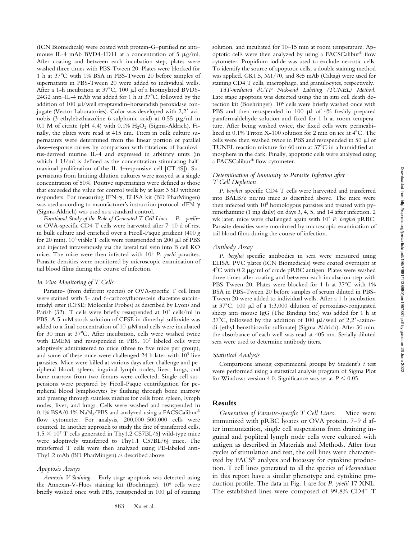(ICN Biomedicals) were coated with protein-G–purified rat anti– mouse IL-4 mAb BVD4-1D11 at a concentration of  $5 \mu g/ml$ . After coating and between each incubation step, plates were washed three times with PBS-Tween 20. Plates were blocked for 1 h at 37C with 1% BSA in PBS-Tween 20 before samples of supernatants in PBS-Tween 20 were added to individual wells. After a 1-h incubation at  $37^{\circ}$ C, 100 µl of a biotinylated BVD6-24G2 anti-IL-4 mAb was added for 1 h at 37°C, followed by the addition of 100  $\mu$ l/well streptavidin–horseradish peroxidase conjugate (Vector Laboratories). Color was developed with 2,2-azinobis (3-ethylebzthiazoline-6-sulphonic acid) at  $0.55 \mu g/ml$  in 0.1 M of citrate (pH 4.4) with  $0.1\%$  H<sub>2</sub>O<sub>2</sub> (Sigma-Aldrich). Finally, the plates were read at 415 nm. Titers in bulk culture supernatants were determined from the linear portion of parallel dose–response curves by comparison with titrations of baculovirus-derived murine IL-4 and expressed in arbitrary units (in which 1 U/ml is defined as the concentration stimulating halfmaximal proliferation of the IL-4–responsive cell [CT.4S]). Supernatants from limiting dilution cultures were assayed at a single concentration of 50%. Positive supernatants were defined as those that exceeded the value for control wells by at least 3 SD without responders. For measuring IFN- $\gamma$ , ELISA kit (BD PharMingen) was used according to manufacturer's instruction protocol. rIFN- $\gamma$ (Sigma-Aldrich) was used as a standard control.

*Functional Study of the Role of Generated T Cell Lines. P. yoelii–* or OVA-specific CD4 T cells were harvested after 7–10 d of rest in bulk culture and enriched over a Ficoll-Paque gradient (400 *g* for 20 min).  $10^6$  viable T cells were resuspended in 200  $\mu$ l of PBS and injected intravenously via the lateral tail vein into B cell KO mice. The mice were then infected with 105 *P. yoelii* parasites. Parasite densities were monitored by microscopic examination of tail blood films during the course of infection.

#### *In Vivo Monitoring of T Cells*

Parasite- (from different species) or OVA-specific T cell lines were stained with 5- and 6-carboxyfluorescein diacetate succinimidyl ester (CFSE; Molecular Probes) as described by Lyons and Parish (32). T cells were briefly resuspended at 107 cells/ml in PBS. A 5-mM stock solution of CFSE in dimethyl sulfoxide was added to a final concentration of  $10 \mu M$  and cells were incubated for 30 min at 37°C. After incubation, cells were washed twice with EMEM and resuspended in PBS. 107 labeled cells were adoptively administered to mice (three to five mice per group), and some of these mice were challenged 24 h later with 105 live parasites. Mice were killed at various days after challenge and peripheral blood, spleen, inguinal lymph nodes, liver, lungs, and bone marrow from two femurs were collected. Single cell suspensions were prepared by Ficoll-Paque centrifugation for peripheral blood lymphocytes by flushing through bone marrow and pressing through stainless meshes for cells from spleen, lymph nodes, liver, and lungs. Cells were washed and resuspended in 0.1% BSA/0.1% NaN<sub>3</sub>/PBS and analyzed using a FACSCalibur® flow cytometer. For analysis, 200,000–500,000 cells were counted. In another approach to study the fate of transferred cells,  $1.5 \times 10^7$  T cells generated in Thy1.2 C57BL/6J wild-type mice were adoptively transferred to Thy1.1 C57BL/6J mice. The transferred T cells were then analyzed using PE-labeled anti-Thy1.2 mAb (BD PharMingen) as described above.

## *Apoptosis Assays*

*Annexin V Staining.* Early stage apoptosis was detected using the Annexin-V-Fluos staining kit (Boehringer). 106 cells were briefly washed once with PBS, resuspended in 100  $\mu$ l of staining

solution, and incubated for 10–15 min at room temperature. Apoptotic cells were then analyzed by using a FACSCalibur® flow cytometer. Propidium iodide was used to exclude necrotic cells. To identify the source of apoptotic cells, a double staining method was applied. GK1.5, M1/70, and 8c5 mAb (Caltag) were used for staining CD4 T cells, macrophage, and granulocytes, respectively.

*TdT-mediated dUTP Nick-end Labeling (TUNEL) Method.* Late stage apoptosis was detected using the in situ cell death detection kit (Boehringer). 106 cells were briefly washed once with PBS and then resuspended in 100  $\mu$ l of 4% freshly prepared paraformaldehyde solution and fixed for 1 h at room temperature. After being washed twice, the fixed cells were permeabilized in 0.1% Triton X-100 solution for 2 min on ice at 4°C. The cells were then washed twice in PBS and resuspended in  $50 \mu l$  of TUNEL reaction mixture for  $60$  min at  $37^{\circ}$ C in a humidified atmosphere in the dark. Finally, apoptotic cells were analyzed using a FACSCalibur® flow cytometer.

## *Determination of Immunity to Parasite Infection after T Cell Depletion*

*P. berghei*–specific CD4 T cells were harvested and transferred into BALB/c nu/nu mice as described above. The mice were then infected with 10<sup>5</sup> homologous parasites and treated with pyrimethamine (1 mg daily) on days 3, 4, 5, and 14 after infection. 2 wk later, mice were challenged again with 105 *P. berghei* pRBC. Parasite densities were monitored by microscopic examination of tail blood films during the course of infection.

#### *Antibody Assay*

*P. berghei*–specific antibodies in sera were measured using ELISA. PVC plates (ICN Biomedicals) were coated overnight at  $4^{\circ}$ C with 0.2  $\mu$ g/ml of crude pRBC antigen. Plates were washed three times after coating and between each incubation step with PBS-Tween 20. Plates were blocked for 1 h at 37°C with 1% BSA in PBS-Tween 20 before samples of serum diluted in PBS-Tween 20 were added to individual wells. After a 1-h incubation at  $37^{\circ}$ C, 100 µl of a 1:3,000 dilution of peroxidase-conjugated sheep anti–mouse IgG (The Binding Site) was added for 1 h at  $37^{\circ}$ C, followed by the addition of 100  $\mu$ l/well of 2,2'-azinodi-[ethyl-benzthiozolin sulfonate] (Sigma-Aldrich). After 30 min, the absorbance of each well was read at 405 nm. Serially diluted sera were used to determine antibody titers.

#### *Statistical Analysis*

Comparisons among experimental groups by Student's *t* test were performed using a statistical analysis program of Sigma Plot for Windows version 4.0. Significance was set at  $P \leq 0.05$ .

## **Results**

*Generation of Parasite-specific T Cell Lines.* Mice were immunized with pRBC lysates or OVA protein. 7–9 d after immunization, single cell suspensions from draining inguinal and popliteal lymph node cells were cultured with antigen as described in Materials and Methods. After four cycles of stimulation and rest, the cell lines were characterized by FACS® analysis and bioassay for cytokine production. T cell lines generated to all the species of *Plasmodium* in this report have a similar phenotype and cytokine production profile. The data in Fig. 1 are for *P. yoelii* 17 XNL. The established lines were composed of 99.8% CD4<sup>+</sup> T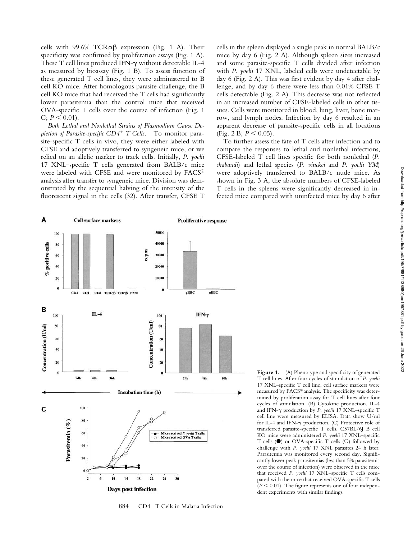cells with 99.6%  $TCR\alpha\beta$  expression (Fig. 1 A). Their specificity was confirmed by proliferation assays (Fig. 1 A). These T cell lines produced IFN- $\gamma$  without detectable IL-4 as measured by bioassay (Fig. 1 B). To assess function of these generated T cell lines, they were administered to B cell KO mice. After homologous parasite challenge, the B cell KO mice that had received the T cells had significantly lower parasitemia than the control mice that received OVA-specific T cells over the course of infection (Fig. 1  $C$ ;  $P \leq 0.01$ ).

*Both Lethal and Nonlethal Strains of Plasmodium Cause Depletion of Parasite-specific CD4*- *T Cells.* To monitor parasite-specific T cells in vivo, they were either labeled with CFSE and adoptively transferred to syngeneic mice, or we relied on an allelic marker to track cells. Initially, *P. yoelii* 17 XNL–specific T cells generated from BALB/c mice were labeled with CFSE and were monitored by FACS® analysis after transfer to syngeneic mice. Division was demonstrated by the sequential halving of the intensity of the fluorescent signal in the cells (32). After transfer, CFSE T

cells in the spleen displayed a single peak in normal BALB/c mice by day 6 (Fig. 2 A). Although spleen sizes increased and some parasite-specific T cells divided after infection with *P. yoelii* 17 XNL, labeled cells were undetectable by day 6 (Fig. 2 A). This was first evident by day 4 after challenge, and by day 6 there were less than 0.01% CFSE T cells detectable (Fig. 2 A). This decrease was not reflected in an increased number of CFSE-labeled cells in other tissues. Cells were monitored in blood, lung, liver, bone marrow, and lymph nodes. Infection by day 6 resulted in an apparent decrease of parasite-specific cells in all locations  $(Fig. 2 B; P < 0.05).$ 

To further assess the fate of T cells after infection and to compare the responses to lethal and nonlethal infections, CFSE-labeled T cell lines specific for both nonlethal (*P. chabaudi*) and lethal species (*P. vinckei* and *P. yoelii YM*) were adoptively transferred to BALB/c nude mice. As shown in Fig. 3 A, the absolute numbers of CFSE-labeled T cells in the spleens were significantly decreased in infected mice compared with uninfected mice by day 6 after



884 CD4<sup>+</sup> T Cells in Malaria Infection

Figure 1. (A) Phenotype and specificity of generated T cell lines. After four cycles of stimulation of *P. yoelii* 17 XNL–specific T cell line, cell surface markers were measured by FACS® analysis. The specificity was determined by proliferation assay for T cell lines after four cycles of stimulation. (B) Cytokine production. IL-4 and IFN- $\gamma$  production by *P. yeolii* 17 XNL-specific T cell line were measured by ELISA. Data show U/ml for IL-4 and IFN- $\gamma$  production. (C) Protective role of transferred parasite-specific T cells. C57BL/6J B cell KO mice were administered *P. yoelii* 17 XNL–specific T cells ( $\bullet$ ) or OVA-specific T cells (O) followed by challenge with *P. yoelii* 17 XNL parasites 24 h later. Parasitemia was monitored every second day. Significantly lower peak parasitemias (less than 5% parasitemia over the course of infection) were observed in the mice that received *P. yoelii* 17 XNL–specific T cells compared with the mice that received OVA-specific T cells  $(P < 0.01)$ . The figure represents one of four independent experiments with similar findings.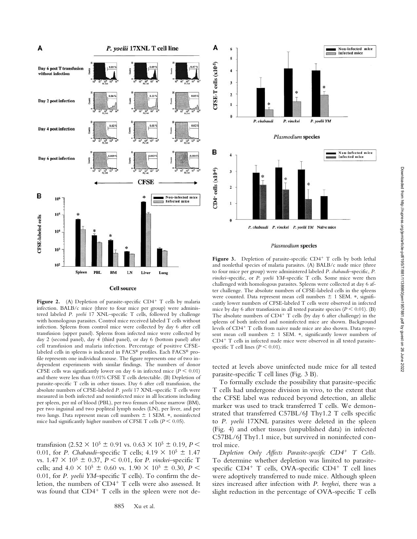

Figure 2. (A) Depletion of parasite-specific CD4<sup>+</sup> T cells by malaria infection. BALB/c mice (three to four mice per group) were administered labeled *P. yoelii* 17 XNL–specific T cells, followed by challenge with homologous parasites. Control mice received labeled T cells without infection. Spleens from control mice were collected by day 6 after cell transfusion (upper panel). Spleens from infected mice were collected by day 2 (second panel), day 4 (third panel), or day 6 (bottom panel) after cell transfusion and malaria infection. Percentage of positive CFSElabeled cells in spleens is indicated in FACS® profiles. Each FACS® profile represents one individual mouse. The figure represents one of two independent experiments with similar findings. The numbers of donor CFSE cells was significantly lower on day 6 in infected mice  $(P < 0.01)$ and there were less than 0.01% CFSE T cells detectable. (B) Depletion of parasite-specific T cells in other tissues. Day 6 after cell transfusion, the absolute numbers of CFSE-labeled *P. yoelii* 17 XNL*–*specific T cells were measured in both infected and noninfected mice in all locations including per spleen, per ml of blood (PBL), per two femurs of bone marrow (BM), per two inguinal and two popliteal lymph nodes (LN), per liver, and per two lungs. Data represent mean cell numbers  $\pm$  1 SEM. \*, noninfected mice had significantly higher numbers of CFSE T cells ( $P \le 0.05$ ).

transfusion (2.52  $\times$  10<sup>5</sup>  $\pm$  0.91 vs. 0.63  $\times$  10<sup>5</sup>  $\pm$  0.19, *P* < 0.01, for *P. Chabaudi*–specific T cells;  $4.19 \times 10^5 \pm 1.47$ vs.  $1.47 \times 10^5 \pm 0.37$ ,  $P < 0.01$ , for *P. vinckei*–specific T cells; and  $4.0 \times 10^5 \pm 0.60$  vs.  $1.90 \times 10^5 \pm 0.30$ ,  $P \le$ 0.01, for *P. yoelii YM*–specific T cells). To confirm the deletion, the numbers of CD4<sup>+</sup> T cells were also assessed. It was found that CD4<sup>+</sup> T cells in the spleen were not de-



Figure 3. Depletion of parasite-specific CD4<sup>+</sup> T cells by both lethal and nonlethal species of malaria parasites. (A) BALB/c nude mice (three to four mice per group) were administered labeled *P. chabaudi*–specific, *P. vinckei*–specific, or *P. yoelii YM*–specific T cells. Some mice were then challenged with homologous parasites. Spleens were collected at day 6 after challenge. The absolute numbers of CFSE-labeled cells in the spleens were counted. Data represent mean cell numbers  $\pm$  1 SEM.  $*$ , significantly lower numbers of CFSE-labeled T cells were observed in infected mice by day 6 after transfusion in all tested parasite species  $(P \le 0.01)$ . (B) The absolute numbers of  $CD4^+$  T cells (by day 6 after challenge) in the spleens of both infected and noninfected mice are shown. Background levels of CD4<sup>+</sup> T cells from naive nude mice are also shown. Data represent mean cell numbers  $\pm$  1 SEM.  $*$ , significantly lower numbers of CD4- T cells in infected nude mice were observed in all tested parasitespecific T cell lines  $(P \le 0.01)$ .

tected at levels above uninfected nude mice for all tested parasite-specific T cell lines (Fig. 3 B).

To formally exclude the possibility that parasite-specific T cells had undergone division in vivo, to the extent that the CFSE label was reduced beyond detection, an allelic marker was used to track transferred T cells. We demonstrated that transferred C57BL/6J Thy1.2 T cells specific to *P. yoelii* 17XNL parasites were deleted in the spleen (Fig. 4) and other tissues (unpublished data) in infected C57BL/6J Thy1.1 mice, but survived in noninfected control mice.

*Depletion Only Affects Parasite-specific CD4*- *T Cells.* To determine whether depletion was limited to parasitespecific CD4<sup>+</sup> T cells, OVA-specific CD4<sup>+</sup> T cell lines were adoptively transferred to nude mice. Although spleen sizes increased after infection with *P. berghei*, there was a slight reduction in the percentage of OVA-specific T cells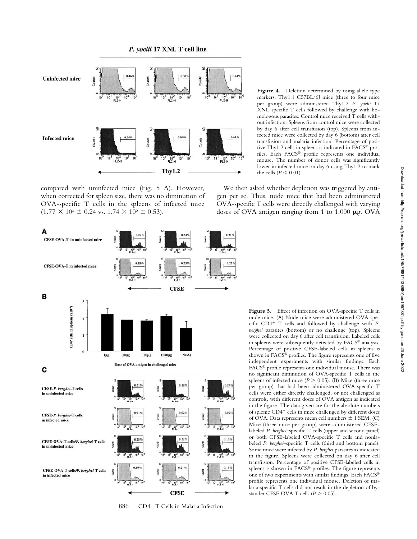

compared with uninfected mice (Fig. 5 A). However, when corrected for spleen size, there was no diminution of OVA-specific T cells in the spleens of infected mice  $(1.77 \times 10^5 \pm 0.24 \text{ vs. } 1.74 \times 10^5 \pm 0.53).$ 



886 CD4<sup>+</sup> T Cells in Malaria Infection

Figure 4. Deletion determined by using allele type markers. Thy1.1 C57BL/6J mice (three to four mice per group) were administered Thy1.2 *P. yoelii* 17 XNL–specific T cells followed by challenge with homologous parasites. Control mice received T cells without infection. Spleens from control mice were collected by day 6 after cell transfusion (top). Spleens from infected mice were collected by day 6 (bottom) after cell transfusion and malaria infection. Percentage of positive Thy1.2 cells in spleens is indicated in FACS® profiles. Each FACS® profile represents one individual mouse. The number of donor cells was significantly lower in infected mice on day 6 using Thy1.2 to mark the cells ( $P \leq 0.01$ ).

We then asked whether depletion was triggered by antigen per se. Thus, nude mice that had been administered OVA-specific T cells were directly challenged with varying doses of OVA antigen ranging from 1 to  $1,000 \mu$ g. OVA

> Figure 5. Effect of infection on OVA-specific T cells in nude mice. (A) Nude mice were administered OVA-specific CD4- T cells and followed by challenge with *P. berghei* parasites (bottom) or no challenge (top). Spleens were collected on day 6 after cell transfusion. Labeled cells in spleens were subsequently detected by FACS® analysis. Percentage of positive CFSE-labeled cells in spleens is shown in FACS® profiles. The figure represents one of five independent experiments with similar findings. Each FACS® profile represents one individual mouse. There was no significant diminution of OVA-specific T cells in the spleens of infected mice  $(P > 0.05)$ . (B) Mice (three mice per group) that had been administered OVA-specific T cells were either directly challenged, or not challenged as controls, with different doses of OVA antigen as indicated in the figure. The data given are for the absolute numbers of splenic CD4<sup>+</sup> cells in mice challenged by different doses of OVA. Data represents mean cell numbers  $\pm$  1 SEM. (C) Mice (three mice per group) were administered CFSElabeled *P. berghei*–specific T cells (upper and second panel) or both CFSE-labeled OVA-specific T cells and nonlabeled *P. berghei–*specific T cells (third and bottom panel). Some mice were infected by *P. berghei* parasites as indicated in the figure. Spleens were collected on day 6 after cell transfusion. Percentage of positive CFSE-labeled cells in spleens is shown in FACS® profiles. The figure represents one of two experiments with similar findings. Each FACS® profile represents one individual mouse. Deletion of malaria-specific T cells did not result in the depletion of bystander CFSE OVA T cells  $(P > 0.05)$ .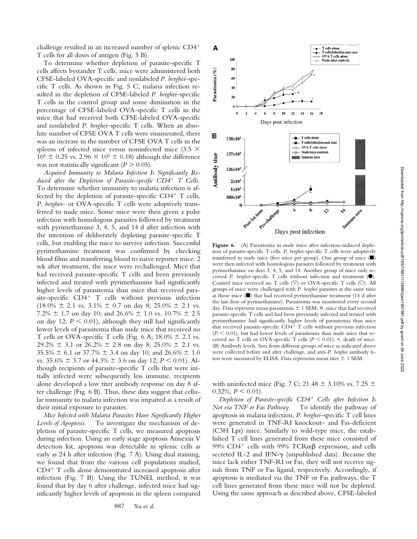challenge resulted in an increased number of splenic CD4- T cells for all doses of antigen (Fig. 5 B).

To determine whether depletion of parasite-specific T cells affects bystander T cells, mice were administered both CFSE-labeled OVA-specific and nonlabeled *P. berghei*–specific T cells. As shown in Fig. 5 C, malaria infection resulted in the depletion of CFSE-labeled *P. berghei*–specific T cells in the control group and some diminution in the percentage of CFSE-labeled OVA-specific T cells in the mice that had received both CFSE-labeled OVA-specific and nonlabeled *P. berghei*–specific T cells. When an absolute number of CFSE OVA T cells were enumerated, there was an increase in the number of CFSE OVA T cells in the spleens of infected mice versus noninfected mice (3.5  $\times$  $10^5 \pm 0.25$  vs. 2.96  $\times$  10<sup>5</sup>  $\pm$  0.18) although the difference was not statistically significant  $(P > 0.05)$ .

*Acquired Immunity to Malaria Infection Is Significantly Reduced after the Depletion of Parasite-specific CD4*- *T Cells.* To determine whether immunity to malaria infection is affected by the depletion of parasite-specific CD4<sup>+</sup> T cells, *P. berghei*– or OVA-specific T cells were adoptively transferred to nude mice. Some mice were then given a pulse infection with homologous parasites followed by treatment with pyrimethamine 3, 4, 5, and 14 d after infection with the intention of deliberately depleting parasite-specific T cells, but enabling the mice to survive infection. Successful pyrimethamine treatment was confirmed by checking blood films and transferring blood to naive reporter mice. 2 wk after treatment, the mice were rechallenged. Mice that had received parasite-specific T cells and been previously infected and treated with pyrimethamine had significantly higher levels of parasitemia than mice that received parasite-specific CD4<sup>+</sup> T cells without previous infection  $(18.0\% \pm 2.1 \text{ vs. } 3.1\% \pm 0.7 \text{ on day } 8; 25.0\% \pm 2.1 \text{ vs. } 3.1\% \pm 0.7 \text{ on day } 8; 25.0\% \pm 2.1 \text{ vs. } 3.1\% \pm 0.7 \text{ on day } 8; 25.0\% \pm 2.1 \text{ vs. } 3.1\% \pm 0.7 \text{ on day } 8; 25.0\% \pm 2.1 \text{ vs. } 3.1\% \pm 0.7 \text{ on day } 8; 25.0\% \pm 2.1 \text{ vs. }$ 7.2%  $\pm$  1.7 on day 10; and 26.6%  $\pm$  1.0 vs. 10.7%  $\pm$  2.5 on day 12;  $P \leq 0.01$ ), although they still had significantly lower levels of parasitemia than nude mice that received no T cells or OVA-specific T cells (Fig. 6 A;  $18.0\% \pm 2.1$  vs. 29.2%  $\pm$  3.1 or 26.2%  $\pm$  2.8 on day 8; 25.0%  $\pm$  2.1 vs.  $35.5\% \pm 6.1$  or  $37.7\% \pm 3.4$  on day 10; and  $26.6\% \pm 1.0$ vs.  $35.6\% \pm 3.7$  or  $44.3\% \pm 3.6$  on day 12;  $P \le 0.01$ ). Although recipients of parasite-specific T cells that were initially infected were subsequently less immune, recipients alone developed a low titer antibody response on day 8 after challenge (Fig. 6 B). Thus, these data suggest that cellular immunity to malaria infection was impaired as a result of their initial exposure to parasites.

*Mice Infected with Malaria Parasites Have Significantly Higher Levels of Apoptosis.* To investigate the mechanism of depletion of parasite-specific T cells, we measured apoptosis during infection. Using an early stage apoptosis Annexin V detection kit, apoptosis was detectable in splenic cells as early as 24 h after infection (Fig. *7* A). Using dual staining, we found that from the various cell populations studied, CD4<sup>+</sup> T cells alone demonstrated increased apoptosis after infection (Fig. 7 B). Using the TUNEL method, it was found that by day 6 after challenge, infected mice had significantly higher levels of apoptosis in the spleen compared



tion of parasite-specific T cells. *P. berghei*–specific T cells were adoptively transferred to nude mice (five mice per group). One group of mice  $(\blacksquare)$ were then infected with homologous parasites followed by treatment with pyrimethamine on days 3, 4, 5, and 14. Another group of mice only received *P. berghei*-specific T cells without infection and treatment (<sup>O</sup>). Control mice received no T cells  $(\nabla)$  or OVA-specific T cells  $(\circ)$ . All groups of mice were challenged with *P. berghei* parasites at the same time as those mice  $(\blacksquare)$  that had received pyrimethamine treatment (14 d after the last dose of pyrimethamine). Parasitemia was monitored every second day. Data represent mean parasitemia  $\pm$  1 SEM. #, mice that had received parasite-specific T cells and had been previously infected and treated with pyrimethamine had significantly higher levels of parasitemia than mice that received parasite-specific CD4<sup>+</sup> T cells without previous infection  $(P < 0.01)$ , but had lower levels of parasitemia than nude mice that received no T cells or OVA-specific T cells ( $P \le 0.01$ ); \*, death of mice. (B) Antibody levels. Sera from different groups of mice as indicated above were collected before and after challenge, and anti-*P. berghei* antibody titers were measured by ELISA. Data represents mean titer  $\pm$  1 SEM.

with uninfected mice (Fig. 7 C; 21.48  $\pm$  3.10% vs. 7.25  $\pm$  $0.32\%, P \leq 0.01$ .

*Depletion of Parasite-specific CD4*- *Cells after Infection Is Not via TNF or Fas Pathway.* To identify the pathway of apoptosis in malaria infection, *P. berghei*–specific T cell lines were generated in TNF-RI knockout– and Fas-deficient (C3H Lpr) mice. Similarly to wild-type mice, the established T cell lines generated from these mice consisted of 99% CD4<sup>+</sup> cells with 99% TCR $\alpha\beta$  expression, and cells secreted IL-2 and IFN- $\gamma$  (unpublished data). Because the mice lack either TNF-RI or Fas, they will not receive signals from TNF or Fas ligand, respectively. Accordingly, if apoptosis is mediated via the TNF or Fas pathways, the T cell lines generated from these mice will not be depleted. Using the same approach as described above, CFSE-labeled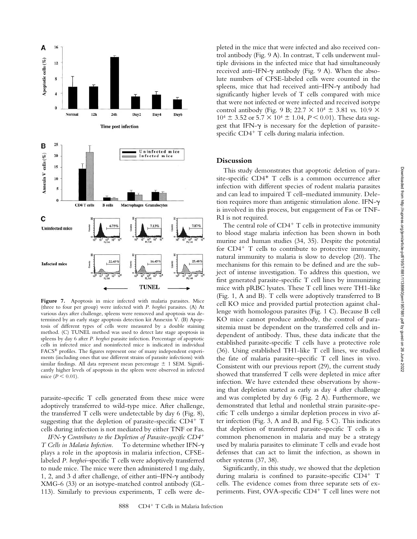

**Figure 7.** Apoptosis in mice infected with malaria parasites. Mice (three to four per group) were infected with *P. berghei* parasites. (A) At various days after challenge, spleens were removed and apoptosis was determined by an early stage apoptosis detection kit Annexin V. (B) Apoptosis of different types of cells were measured by a double staining method. (C) TUNEL method was used to detect late stage apoptosis in spleens by day 6 after *P. berghei* parasite infection. Percentage of apoptotic cells in infected mice and noninfected mice is indicated in individual FACS® profiles. The figures represent one of many independent experiments (including ones that use different strains of parasite infections) with similar findings. All data represent mean percentage  $\pm$  1 SEM. Significantly higher levels of apoptosis in the spleen were observed in infected mice  $(P < 0.01)$ .

parasite-specific T cells generated from these mice were adoptively transferred to wild-type mice. After challenge, the transferred T cells were undetectable by day 6 (Fig. 8), suggesting that the depletion of parasite-specific CD4<sup>+</sup> T cells during infection is not mediated by either TNF or Fas.

*IFN- Contributes to the Depletion of Parasite-specific CD4*- *T Cells in Malaria Infection.* To determine whether IFN plays a role in the apoptosis in malaria infection, CFSElabeled *P. berghei*–specific T cells were adoptively transferred to nude mice. The mice were then administered 1 mg daily, 1, 2, and 3 d after challenge, of either anti-IFN- $\gamma$  antibody XMG-6 (33) or an isotype-matched control antibody (GL-113). Similarly to previous experiments, T cells were de-

pleted in the mice that were infected and also received control antibody (Fig. 9 A). In contrast, T cells underwent multiple divisions in the infected mice that had simultaneously received anti-IFN- $\gamma$  antibody (Fig. 9 A). When the absolute numbers of CFSE-labeled cells were counted in the spleens, mice that had received anti-IFN- $\gamma$  antibody had significantly higher levels of T cells compared with mice that were not infected or were infected and received isotype control antibody (Fig. 9 B; 22.7  $\times$  10<sup>4</sup>  $\pm$  3.81 vs. 10.9  $\times$  $10^4 \pm 3.52$  or  $5.7 \times 10^4 \pm 1.04$ ,  $P \le 0.01$ ). These data suggest that IFN- $\gamma$  is necessary for the depletion of parasitespecific CD4<sup>+</sup> T cells during malaria infection.

# **Discussion**

This study demonstrates that apoptotic deletion of parasite-specific CD4<sup>+</sup> T cells is a common occurrence after infection with different species of rodent malaria parasites and can lead to impaired T cell–mediated immunity. Deletion requires more than antigenic stimulation alone. IFN is involved in this process, but engagement of Fas or TNF-RI is not required.

The central role of CD4<sup>+</sup> T cells in protective immunity to blood stage malaria infection has been shown in both murine and human studies (34, 35). Despite the potential for CD4<sup>+</sup> T cells to contribute to protective immunity, natural immunity to malaria is slow to develop (20). The mechanisms for this remain to be defined and are the subject of intense investigation. To address this question, we first generated parasite-specific T cell lines by immunizing mice with pRBC lysates. These T cell lines were TH1-like (Fig. 1, A and B). T cells were adoptively transferred to B cell KO mice and provided partial protection against challenge with homologous parasites (Fig. 1 C). Because B cell KO mice cannot produce antibody, the control of parasitemia must be dependent on the transferred cells and independent of antibody. Thus, these data indicate that the established parasite-specific T cells have a protective role (36). Using established TH1-like T cell lines, we studied the fate of malaria parasite–specific T cell lines in vivo. Consistent with our previous report (29), the current study showed that transferred T cells were depleted in mice after infection. We have extended these observations by showing that depletion started as early as day 4 after challenge and was completed by day 6 (Fig. 2 A). Furthermore, we demonstrated that lethal and nonlethal strain parasite-specific T cells undergo a similar depletion process in vivo after infection (Fig. 3, A and B, and Fig. 5 C). This indicates that depletion of transferred parasite-specific T cells is a common phenomenon in malaria and may be a strategy used by malaria parasites to eliminate T cells and evade host defenses that can act to limit the infection, as shown in other systems (37, 38).

Significantly, in this study, we showed that the depletion during malaria is confined to parasite-specific CD4<sup>+</sup> T cells. The evidence comes from three separate sets of experiments. First, OVA-specific CD4<sup>+</sup> T cell lines were not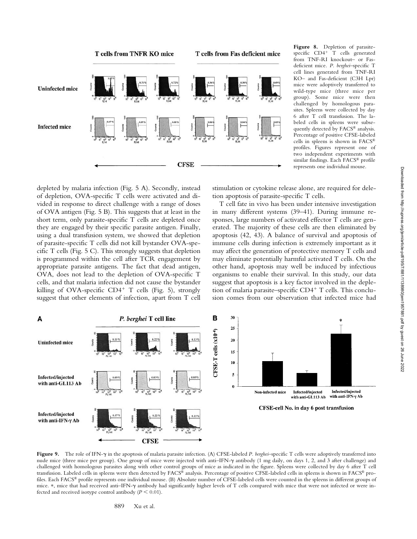

**Figure 8.** Depletion of parasitespecific CD4<sup>+</sup> T cells generated from TNF-RI knockout- or Fasdeficient mice. *P. berghei*–specific T cell lines generated from TNF-RI KO– and Fas-deficient (C3H Lpr) mice were adoptively transferred to wild-type mice (three mice per group). Some mice were then challenged by homologous parasites. Spleens were collected by day 6 after T cell transfusion. The labeled cells in spleens were subsequently detected by FACS® analysis. Percentage of positive CFSE-labeled cells in spleens is shown in FACS® profiles. Figures represent one of two independent experiments with similar findings. Each FACS® profile represents one individual mouse.

depleted by malaria infection (Fig. 5 A). Secondly, instead of depletion, OVA-specific T cells were activated and divided in response to direct challenge with a range of doses of OVA antigen (Fig. 5 B). This suggests that at least in the short term, only parasite-specific T cells are depleted once they are engaged by their specific parasite antigen. Finally, using a dual transfusion system, we showed that depletion of parasite-specific T cells did not kill bystander OVA-specific T cells (Fig. 5 C). This strongly suggests that depletion is programmed within the cell after TCR engagement by appropriate parasite antigens. The fact that dead antigen, OVA, does not lead to the depletion of OVA-specific T cells, and that malaria infection did not cause the bystander killing of OVA-specific CD4<sup>+</sup> T cells (Fig. 5), strongly suggest that other elements of infection, apart from T cell

stimulation or cytokine release alone, are required for deletion apoptosis of parasite-specific T cells.

T cell fate in vivo has been under intensive investigation in many different systems (39–41). During immune responses, large numbers of activated effector T cells are generated. The majority of these cells are then eliminated by apoptosis (42, 43). A balance of survival and apoptosis of immune cells during infection is extremely important as it may affect the generation of protective memory T cells and may eliminate potentially harmful activated T cells. On the other hand, apoptosis may well be induced by infectious organisms to enable their survival. In this study, our data suggest that apoptosis is a key factor involved in the depletion of malaria parasite–specific CD4<sup>+</sup> T cells. This conclusion comes from our observation that infected mice had



Figure 9. The role of IFN- $\gamma$  in the apoptosis of malaria parasite infection. (A) CFSE-labeled *P. berghei*–specific T cells were adoptively transferred into nude mice (three mice per group). One group of mice were injected with anti-IFN- $\gamma$  antibody (1 mg daily, on days 1, 2, and 3 after challenge) and challenged with homologous parasites along with other control groups of mice as indicated in the figure. Spleens were collected by day 6 after T cell transfusion. Labeled cells in spleens were then detected by FACS® analysis. Percentage of positive CFSE-labeled cells in spleens is shown in FACS® profiles. Each FACS® profile represents one individual mouse. (B) Absolute number of CFSE-labeled cells were counted in the spleens in different groups of mice. \*, mice that had received anti-IFN-y antibody had significantly higher levels of T cells compared with mice that were not infected or were infected and received isotype control antibody  $(P \le 0.01)$ .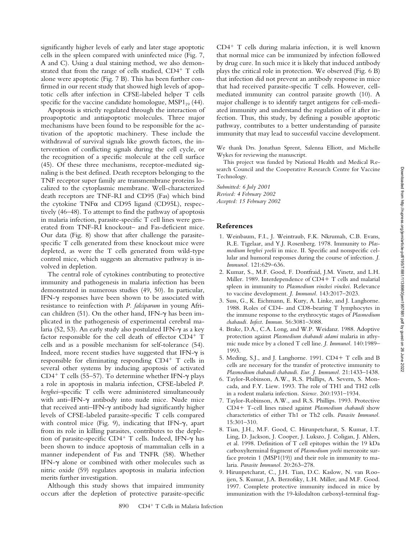significantly higher levels of early and later stage apoptotic cells in the spleen compared with uninfected mice (Fig. 7, A and C). Using a dual staining method, we also demonstrated that from the range of cells studied, CD4<sup>+</sup> T cells alone were apoptotic (Fig. 7 B). This has been further confirmed in our recent study that showed high levels of apoptotic cells after infection in CFSE-labeled helper T cells specific for the vaccine candidate homologue,  $MSP1_{19}$  (44).

Apoptosis is strictly regulated through the interaction of proapoptotic and antiapoptotic molecules. Three major mechanisms have been found to be responsible for the activation of the apoptotic machinery. These include the withdrawal of survival signals like growth factors, the intervention of conflicting signals during the cell cycle, or the recognition of a specific molecule at the cell surface (45). Of these three mechanisms, receptor-mediated signaling is the best defined. Death receptors belonging to the TNF receptor super family are transmembrane proteins localized to the cytoplasmic membrane. Well-characterized death receptors are TNF-RI and CD95 (Fas) which bind the cytokine TNF $\alpha$  and CD95 ligand (CD95L), respectively (46–48). To attempt to find the pathway of apoptosis in malaria infection, parasite-specific T cell lines were generated from TNF-RI knockout– and Fas-deficient mice. Our data (Fig. 8) show that after challenge the parasitespecific T cells generated from these knockout mice were depleted, as were the T cells generated from wild-type control mice, which suggests an alternative pathway is involved in depletion.

The central role of cytokines contributing to protective immunity and pathogenesis in malaria infection has been demonstrated in numerous studies (49, 50). In particular, IFN- $\gamma$  responses have been shown to be associated with resistance to reinfection with *P. falciparum* in young African children (51). On the other hand, IFN- $\gamma$  has been implicated in the pathogenesis of experimental cerebral malaria (52, 53). An early study also postulated IFN- $\gamma$  as a key factor responsible for the cell death of effector CD4<sup>+</sup> T cells and as a possible mechanism for self-tolerance (54). Indeed, more recent studies have suggested that IFN- $\gamma$  is responsible for eliminating responding CD4- T cells in several other systems by inducing apoptosis of activated CD4<sup>+</sup> T cells (55–57). To determine whether IFN- $\gamma$  plays a role in apoptosis in malaria infection, CFSE-labeled *P. berghei*–specific T cells were administered simultaneously with anti-IFN- $\gamma$  antibody into nude mice. Nude mice that received anti-IFN- $\gamma$  antibody had significantly higher levels of CFSE-labeled parasite-specific T cells compared with control mice (Fig. 9), indicating that IFN- $\gamma$ , apart from its role in killing parasites, contributes to the depletion of parasite-specific  $CD4^+$  T cells. Indeed, IFN- $\gamma$  has been shown to induce apoptosis of mammalian cells in a manner independent of Fas and TNFR (58). Whether IFN- $\gamma$  alone or combined with other molecules such as nitric oxide (59) regulates apoptosis in malaria infection merits further investigation.

Although this study shows that impaired immunity occurs after the depletion of protective parasite-specific

CD4- T cells during malaria infection, it is well known that normal mice can be immunized by infection followed by drug cure. In such mice it is likely that induced antibody plays the critical role in protection. We observed (Fig. 6 B) that infection did not prevent an antibody response in mice that had received parasite-specific T cells. However, cellmediated immunity can control parasite growth (10). A major challenge is to identify target antigens for cell-mediated immunity and understand the regulation of it after infection. Thus, this study, by defining a possible apoptotic pathway, contributes to a better understanding of parasite immunity that may lead to successful vaccine development.

We thank Drs. Jonathan Sprent, Salenna Elliott, and Michelle Wykes for reviewing the manuscript.

This project was funded by National Health and Medical Research Council and the Cooperative Research Centre for Vaccine Technology.

*Submitted: 6 July 2001 Revised: 4 February 2002 Accepted: 15 February 2002*

## **References**

- 1. Weinbaum, F.I., J. Weintraub, F.K. Nkrumah, C.B. Evans, R.E. Tigelaar, and Y.J. Rosenberg. 1978. Immunity to *Plasmodium berghei yoelii* in mice. II. Specific and nonspecific cellular and humoral responses during the course of infection. *J. Immunol.* 121:629–636.
- 2. Kumar, S., M.F. Good, F. Dontfraid, J.M. Vinetz, and L.H. Miller. 1989. Interdependence of CD4+ T cells and malarial spleen in immunity to *Plasmodium vinckei vinckei*. Relevance to vaccine development. *J. Immunol.* 143:2017–2023.
- 3. Suss, G., K. Eichmann, E. Kury, A. Linke, and J. Langhorne. 1988. Roles of CD4- and CD8-bearing T lymphocytes in the immune response to the erythrocytic stages of *Plasmodium chabaudi. Infect. Immun.* 56:3081–3088.
- 4. Brake, D.A., C.A. Long, and W.P. Weidanz. 1988. Adoptive protection against *Plasmodium chabaudi adami* malaria in athymic nude mice by a cloned T cell line. *J. Immunol.* 140:1989– 1993.
- 5. Meding, S.J., and J. Langhorne. 1991. CD4+ T cells and B cells are necessary for the transfer of protective immunity to *Plasmodium chabaudi chabaudi. Eur. J. Immunol.* 21:1433–1438.
- 6. Taylor-Robinson, A.W., R.S. Phillips, A. Severn, S. Moncada, and F.Y. Liew. 1993. The role of TH1 and TH2 cells in a rodent malaria infection. *Science.* 260:1931–1934.
- 7. Taylor-Robinson, A.W., and R.S. Phillips. 1993. Protective CD4- T-cell lines raised against *Plasmodium chabaudi* show characteristics of either Th1 or Th2 cells. *Parasite Immunol.* 15:301–310.
- 8. Tian, J.H., M.F. Good, C. Hirunpetcharat, S. Kumar, I.T. Ling, D. Jackson, J. Cooper, J. Lukszo, J. Coligan, J. Ahlers, et al. 1998. Definition of T cell epitopes within the 19 kDa carboxylterminal fragment of *Plasmodium yoelii* merozoite surface protein 1 (MSP1(19)) and their role in immunity to malaria. *Parasite Immunol.* 20:263–278.
- 9. Hirunpetcharat, C., J.H. Tian, D.C. Kaslow, N. van Rooijen, S. Kumar, J.A. Berzofsky, L.H. Miller, and M.F. Good. 1997. Complete protective immunity induced in mice by immunization with the 19-kilodalton carboxyl-terminal frag-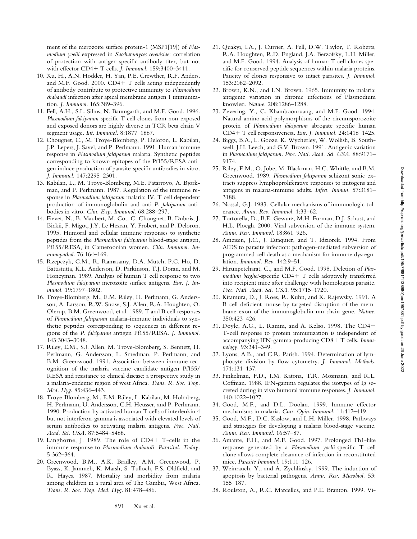ment of the merozoite surface protein-1 (MSP1[19]) of *Plasmodium yoelii* expressed in *Saccharomyces cerevisiae*: correlation of protection with antigen-specific antibody titer, but not with effector CD4+ T cells. *J. Immunol*. 159:3400-3411.

- 10. Xu, H., A.N. Hodder, H. Yan, P.E. Crewther, R.F. Anders, and M.F. Good. 2000. CD4+ T cells acting independently of antibody contribute to protective immunity to *Plasmodium chabaudi* infection after apical membrane antigen 1 immunization. *J. Immunol.* 165:389–396.
- 11. Fell, A.H., S.L. Silins, N. Baumgarth, and M.F. Good. 1996. *Plasmodium falciparum*-specific T cell clones from non-exposed and exposed donors are highly diverse in TCR beta chain V segment usage. *Int. Immunol.* 8:1877–1887.
- 12. Chougnet, C., M. Troye-Blomberg, P. Deloron, L. Kabilan, J.P. Lepers, J. Savel, and P. Perlmann. 1991. Human immune response in *Plasmodium falciparum* malaria. Synthetic peptides corresponding to known epitopes of the Pf155/RESA antigen induce production of parasite-specific antibodies in vitro. *J. Immunol.* 147:2295–2301.
- 13. Kabilan, L., M. Troye-Blomberg, M.E. Patarroyo, A. Bjorkman, and P. Perlmann. 1987. Regulation of the immune response in *Plasmodium falciparum* malaria: IV. T cell dependent production of immunoglobulin and anti-*P. falciparum* antibodies in vitro. *Clin. Exp. Immunol.* 68:288–297.
- 14. Fievet, N., B. Maubert, M. Cot, C. Chougnet, B. Dubois, J. Bickii, F. Migot, J.Y. Le Hesran, Y. Frobert, and P. Deloron. 1995. Humoral and cellular immune responses to synthetic peptides from the *Plasmodium falciparum* blood-stage antigen, Pf155/RESA, in Cameroonian women. *Clin. Immunol. Immunopathol.* 76:164–169.
- 15. Rzepczyk, C.M., R. Ramasamy, D.A. Mutch, P.C. Ho, D. Battistutta, K.L. Anderson, D. Parkinson, T.J. Doran, and M. Honeyman. 1989. Analysis of human T cell response to two *Plasmodium falciparum* merozoite surface antigens. *Eur. J. Immunol.* 19:1797–1802.
- 16. Troye-Blomberg, M., E.M. Riley, H. Perlmann, G. Andersson, A. Larsson, R.W. Snow, S.J. Allen, R.A. Houghten, O. Olerup, B.M. Greenwood, et al. 1989. T and B cell responses of *Plasmodium falciparum* malaria-immune individuals to synthetic peptides corresponding to sequences in different regions of the *P. falciparum* antigen Pf155/RESA. *J. Immunol.* 143:3043–3048.
- 17. Riley, E.M., S.J. Allen, M. Troye-Blomberg, S. Bennett, H. Perlmann, G. Andersson, L. Smedman, P. Perlmann, and B.M. Greenwood. 1991. Association between immune recognition of the malaria vaccine candidate antigen Pf155/ RESA and resistance to clinical disease: a prospective study in a malaria-endemic region of west Africa. *Trans. R. Soc. Trop. Med. Hyg.* 85:436–443.
- 18. Troye-Blomberg, M., E.M. Riley, L. Kabilan, M. Holmberg, H. Perlmann, U. Andersson, C.H. Heusser, and P. Perlmann. 1990. Production by activated human T cells of interleukin 4 but not interferon-gamma is associated with elevated levels of serum antibodies to activating malaria antigens. *Proc. Natl. Acad. Sci. USA.* 87:5484–5488.
- 19. Langhorne, J. 1989. The role of CD4+ T-cells in the immune response to *Plasmodium chabaudi. Parasitol. Today.* 5:362–364.
- 20. Greenwood, B.M., A.K. Bradley, A.M. Greenwood, P. Byass, K. Jammeh, K. Marsh, S. Tulloch, F.S. Oldfield, and R. Hayes. 1987. Mortality and morbidity from malaria among children in a rural area of The Gambia, West Africa. *Trans. R. Soc. Trop. Med. Hyg.* 81:478–486.
- 21. Quakyi, I.A., J. Currier, A. Fell, D.W. Taylor, T. Roberts, R.A. Houghten, R.D. England, J.A. Berzofsky, L.H. Miller, and M.F. Good. 1994. Analysis of human T cell clones specific for conserved peptide sequences within malaria proteins. Paucity of clones responsive to intact parasites. *J. Immunol.* 153:2082–2092.
- 22. Brown, K.N., and I.N. Brown. 1965. Immunity to malaria: antigenic variation in chronic infections of Plasmodium knowlesi. *Nature.* 208:1286–1288.
- 23. Zevering, Y., C. Khamboonruang, and M.F. Good. 1994. Natural amino acid polymorphisms of the circumsporozoite protein of *Plasmodium falciparum* abrogate specific human CD4- T cell responsiveness. *Eur. J. Immunol.* 24:1418–1425.
- 24. Biggs, B.A., L. Gooze, K. Wycherley, W. Wollish, B. Southwell, J.H. Leech, and G.V. Brown. 1991. Antigenic variation in *Plasmodium falciparum. Proc. Natl. Acad. Sci. USA.* 88:9171– 9174.
- 25. Riley, E.M., O. Jobe, M. Blackman, H.C. Whittle, and B.M. Greenwood. 1989. *Plasmodium falciparum* schizont sonic extracts suppress lymphoproliferative responses to mitogens and antigens in malaria-immune adults. *Infect. Immun.* 57:3181– 3188.
- 26. Nossal, G.J. 1983. Cellular mechanisms of immunologic tolerance. *Annu. Rev. Immunol.* 1:33–62.
- 27. Tortorella, D., B.E. Gewurz, M.H. Furman, D.J. Schust, and H.L. Ploegh. 2000. Viral subversion of the immune system. *Annu. Rev. Immunol.* 18:861–926.
- 28. Ameisen, J.C., J. Estaquier, and T. Idziorek. 1994. From AIDS to parasite infection: pathogen-mediated subversion of programmed cell death as a mechanism for immune dysregulation. *Immunol. Rev.* 142:9–51.
- 29. Hirunpetcharat, C., and M.F. Good. 1998. Deletion of *Plas*modium berghei-specific CD4+ T cells adoptively transferred into recipient mice after challenge with homologous parasite. *Proc. Natl. Acad. Sci. USA.* 95:1715–1720.
- 30. Kitamura, D., J. Roes, R. Kuhn, and K. Rajewsky. 1991. A B cell-deficient mouse by targeted disruption of the membrane exon of the immunoglobulin mu chain gene. *Nature.* 350:423–426.
- 31. Doyle, A.G., L. Ramm, and A. Kelso. 1998. The CD4- T-cell response to protein immunization is independent of accompanying IFN-gamma-producing CD8+ T cells. Immu*nology.* 93:341–349.
- 32. Lyons, A.B., and C.R. Parish. 1994. Determination of lymphocyte division by flow cytometry. *J. Immunol. Methods.* 171:131–137.
- 33. Finkelman, F.D., I.M. Katona, T.R. Mosmann, and R.L. Coffman. 1988. IFN-gamma regulates the isotypes of Ig secreted during in vivo humoral immune responses. *J. Immunol.* 140:1022–1027.
- 34. Good, M.F., and D.L. Doolan. 1999. Immune effector mechanisms in malaria. *Curr. Opin. Immunol.* 11:412–419.
- 35. Good, M.F., D.C. Kaslow, and L.H. Miller. 1998. Pathways and strategies for developing a malaria blood-stage vaccine. *Annu. Rev. Immunol.* 16:57–87.
- 36. Amante, F.H., and M.F. Good. 1997. Prolonged Th1-like response generated by a *Plasmodium yoelii*-specific T cell clone allows complete clearance of infection in reconstituted mice. *Parasite Immunol.* 19:111–126.
- 37. Weinrauch, Y., and A. Zychlinsky. 1999. The induction of apoptosis by bacterial pathogens. *Annu. Rev. Microbiol.* 53: 155–187.
- 38. Roulston, A., R.C. Marcellus, and P.E. Branton. 1999. Vi-